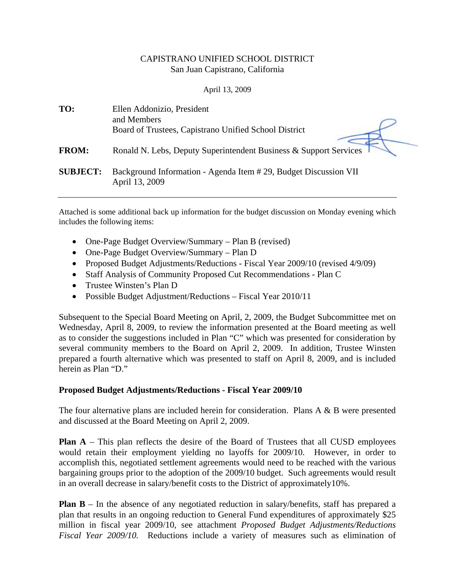# CAPISTRANO UNIFIED SCHOOL DISTRICT San Juan Capistrano, California

## April 13, 2009

| TO:             | Ellen Addonizio, President<br>and Members                                         |
|-----------------|-----------------------------------------------------------------------------------|
|                 | Board of Trustees, Capistrano Unified School District                             |
| <b>FROM:</b>    | Ronald N. Lebs, Deputy Superintendent Business & Support Services                 |
| <b>SUBJECT:</b> | Background Information - Agenda Item #29, Budget Discussion VII<br>April 13, 2009 |

Attached is some additional back up information for the budget discussion on Monday evening which includes the following items:

- One-Page Budget Overview/Summary Plan B (revised)
- One-Page Budget Overview/Summary Plan D
- Proposed Budget Adjustments/Reductions Fiscal Year 2009/10 (revised 4/9/09)
- Staff Analysis of Community Proposed Cut Recommendations Plan C
- Trustee Winsten's Plan D
- Possible Budget Adjustment/Reductions Fiscal Year 2010/11

Subsequent to the Special Board Meeting on April, 2, 2009, the Budget Subcommittee met on Wednesday, April 8, 2009, to review the information presented at the Board meeting as well as to consider the suggestions included in Plan "C" which was presented for consideration by several community members to the Board on April 2, 2009. In addition, Trustee Winsten prepared a fourth alternative which was presented to staff on April 8, 2009, and is included herein as Plan "D."

### **Proposed Budget Adjustments/Reductions - Fiscal Year 2009/10**

The four alternative plans are included herein for consideration. Plans  $A \& B$  were presented and discussed at the Board Meeting on April 2, 2009.

**Plan A** – This plan reflects the desire of the Board of Trustees that all CUSD employees would retain their employment yielding no layoffs for 2009/10. However, in order to accomplish this, negotiated settlement agreements would need to be reached with the various bargaining groups prior to the adoption of the 2009/10 budget. Such agreements would result in an overall decrease in salary/benefit costs to the District of approximately10%.

**Plan B** – In the absence of any negotiated reduction in salary/benefits, staff has prepared a plan that results in an ongoing reduction to General Fund expenditures of approximately \$25 million in fiscal year 2009/10, see attachment *Proposed Budget Adjustments/Reductions Fiscal Year 2009/10.* Reductions include a variety of measures such as elimination of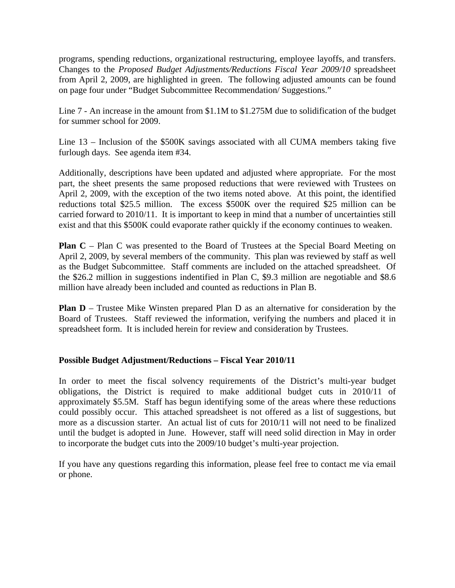programs, spending reductions, organizational restructuring, employee layoffs, and transfers. Changes to the *Proposed Budget Adjustments/Reductions Fiscal Year 2009/10* spreadsheet from April 2, 2009, are highlighted in green. The following adjusted amounts can be found on page four under "Budget Subcommittee Recommendation/ Suggestions."

Line 7 - An increase in the amount from \$1.1M to \$1.275M due to solidification of the budget for summer school for 2009.

Line 13 – Inclusion of the \$500K savings associated with all CUMA members taking five furlough days. See agenda item #34.

Additionally, descriptions have been updated and adjusted where appropriate. For the most part, the sheet presents the same proposed reductions that were reviewed with Trustees on April 2, 2009, with the exception of the two items noted above. At this point, the identified reductions total \$25.5 million. The excess \$500K over the required \$25 million can be carried forward to 2010/11. It is important to keep in mind that a number of uncertainties still exist and that this \$500K could evaporate rather quickly if the economy continues to weaken.

**Plan C** – Plan C was presented to the Board of Trustees at the Special Board Meeting on April 2, 2009, by several members of the community. This plan was reviewed by staff as well as the Budget Subcommittee. Staff comments are included on the attached spreadsheet. Of the \$26.2 million in suggestions indentified in Plan C, \$9.3 million are negotiable and \$8.6 million have already been included and counted as reductions in Plan B.

**Plan D** – Trustee Mike Winsten prepared Plan D as an alternative for consideration by the Board of Trustees. Staff reviewed the information, verifying the numbers and placed it in spreadsheet form. It is included herein for review and consideration by Trustees.

# **Possible Budget Adjustment/Reductions – Fiscal Year 2010/11**

In order to meet the fiscal solvency requirements of the District's multi-year budget obligations, the District is required to make additional budget cuts in 2010/11 of approximately \$5.5M. Staff has begun identifying some of the areas where these reductions could possibly occur. This attached spreadsheet is not offered as a list of suggestions, but more as a discussion starter. An actual list of cuts for 2010/11 will not need to be finalized until the budget is adopted in June. However, staff will need solid direction in May in order to incorporate the budget cuts into the 2009/10 budget's multi-year projection.

If you have any questions regarding this information, please feel free to contact me via email or phone.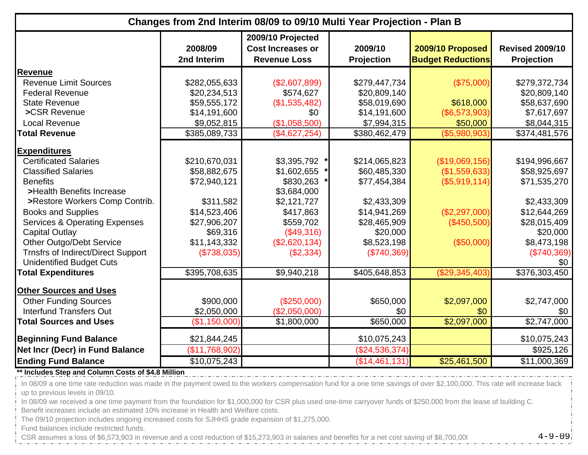|                                           | Changes from 2nd Interim 08/09 to 09/10 Multi Year Projection - Plan B |                                                                      |                              |                                              |                                             |  |  |
|-------------------------------------------|------------------------------------------------------------------------|----------------------------------------------------------------------|------------------------------|----------------------------------------------|---------------------------------------------|--|--|
|                                           | 2008/09<br>2nd Interim                                                 | 2009/10 Projected<br><b>Cost Increases or</b><br><b>Revenue Loss</b> | 2009/10<br><b>Projection</b> | 2009/10 Proposed<br><b>Budget Reductions</b> | <b>Revised 2009/10</b><br><b>Projection</b> |  |  |
| <b>Revenue</b>                            |                                                                        |                                                                      |                              |                                              |                                             |  |  |
| <b>Revenue Limit Sources</b>              | \$282,055,633                                                          | (\$2,607,899)                                                        | \$279,447,734                | (\$75,000)                                   | \$279,372,734                               |  |  |
| <b>Federal Revenue</b>                    | \$20,234,513                                                           | \$574,627                                                            | \$20,809,140                 |                                              | \$20,809,140                                |  |  |
| <b>State Revenue</b>                      | \$59,555,172                                                           | (\$1,535,482)                                                        | \$58,019,690                 | \$618,000                                    | \$58,637,690                                |  |  |
| >CSR Revenue                              | \$14,191,600                                                           | \$0                                                                  | \$14,191,600                 | (\$6,573,903)                                | \$7,617,697                                 |  |  |
| <b>Local Revenue</b>                      | \$9,052,815                                                            | (\$1,058,500)                                                        | \$7,994,315                  | \$50,000                                     | \$8,044,315                                 |  |  |
| <b>Total Revenue</b>                      | \$385,089,733                                                          | (\$4,627,254)                                                        | \$380,462,479                | (\$5,980,903)                                | \$374,481,576                               |  |  |
| <b>Expenditures</b>                       |                                                                        |                                                                      |                              |                                              |                                             |  |  |
| <b>Certificated Salaries</b>              | \$210,670,031                                                          | \$3,395,792                                                          | \$214,065,823                | (\$19,069,156)                               | \$194,996,667                               |  |  |
| <b>Classified Salaries</b>                | \$58,882,675                                                           | \$1,602,655                                                          | \$60,485,330                 | (\$1,559,633)                                | \$58,925,697                                |  |  |
| <b>Benefits</b>                           | \$72,940,121                                                           | \$830,263                                                            | \$77,454,384                 | (\$5,919,114)                                | \$71,535,270                                |  |  |
| >Health Benefits Increase                 |                                                                        | \$3,684,000                                                          |                              |                                              |                                             |  |  |
| >Restore Workers Comp Contrib.            | \$311,582                                                              | \$2,121,727                                                          | \$2,433,309                  |                                              | \$2,433,309                                 |  |  |
| <b>Books and Supplies</b>                 | \$14,523,406                                                           | \$417,863                                                            | \$14,941,269                 | (\$2,297,000)                                | \$12,644,269                                |  |  |
| <b>Services &amp; Operating Expenses</b>  | \$27,906,207                                                           | \$559,702                                                            | \$28,465,909                 | (\$450,500)                                  | \$28,015,409                                |  |  |
| Capital Outlay                            | \$69,316                                                               | (\$49,316)                                                           | \$20,000                     |                                              | \$20,000                                    |  |  |
| <b>Other Outgo/Debt Service</b>           | \$11,143,332                                                           | (\$2,620,134)                                                        | \$8,523,198                  | (\$50,000)                                   | \$8,473,198                                 |  |  |
| <b>Trnsfrs of Indirect/Direct Support</b> | (\$738,035)                                                            | (\$2,334)                                                            | (\$740,369)                  |                                              | (\$740,369)                                 |  |  |
| <b>Unidentified Budget Cuts</b>           |                                                                        |                                                                      |                              |                                              | \$0                                         |  |  |
| <b>Total Expenditures</b>                 | \$395,708,635                                                          | \$9,940,218                                                          | \$405,648,853                | (\$29,345,403)                               | \$376,303,450                               |  |  |
| <b>Other Sources and Uses</b>             |                                                                        |                                                                      |                              |                                              |                                             |  |  |
| <b>Other Funding Sources</b>              | \$900,000                                                              | (\$250,000)                                                          | \$650,000                    | \$2,097,000                                  | \$2,747,000                                 |  |  |
| <b>Interfund Transfers Out</b>            | \$2,050,000                                                            | (\$2,050,000)                                                        | \$0                          | \$0                                          | \$0                                         |  |  |
| <b>Total Sources and Uses</b>             | (\$1,150,000)                                                          | \$1,800,000                                                          | \$650,000                    | \$2,097,000                                  | \$2,747,000                                 |  |  |
|                                           |                                                                        |                                                                      |                              |                                              |                                             |  |  |
| <b>Beginning Fund Balance</b>             | \$21,844,245                                                           |                                                                      | \$10,075,243                 |                                              | \$10,075,243                                |  |  |
| <b>Net Incr (Decr) in Fund Balance</b>    | (\$11,768,902)                                                         |                                                                      | (\$24,536,374)               |                                              | \$925,126                                   |  |  |
| <b>Ending Fund Balance</b>                | \$10,075,243                                                           |                                                                      | (\$14,461,131)               | \$25,461,500                                 | \$11,000,369                                |  |  |

#### **\*\* Includes Step and Column Costs of \$4.8 Million**

In 08/09 a one time rate reduction was made in the payment owed to the workers compensation fund for a one time savings of over \$2,100,000. This rate will increase back up to previous levels in 09/10.

In 08/09 we received a one time payment from the foundation for \$1,000,000 for CSR plus used one-time carryover funds of \$250,000 from the lease of building C.

Benefit increases include an estimated 10% increase in Health and Welfare costs.

The 09/10 projection includes ongoing increased costs for SJHHS grade expansion of \$1,275,000.

Fund balances include restricted funds.

CSR assumes a loss of \$6,573,903 in revenue and a cost reduction of \$15,273,903 in salaries and benefits for a net cost saving of \$8,700,000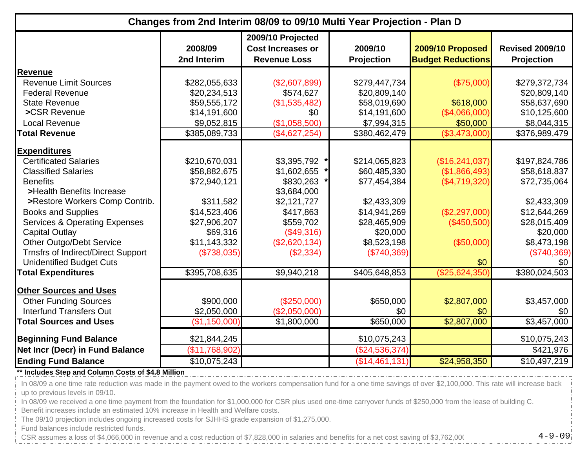|                                           | Changes from 2nd Interim 08/09 to 09/10 Multi Year Projection - Plan D |                                                                      |                              |                                              |                                             |  |  |
|-------------------------------------------|------------------------------------------------------------------------|----------------------------------------------------------------------|------------------------------|----------------------------------------------|---------------------------------------------|--|--|
|                                           | 2008/09<br>2nd Interim                                                 | 2009/10 Projected<br><b>Cost Increases or</b><br><b>Revenue Loss</b> | 2009/10<br><b>Projection</b> | 2009/10 Proposed<br><b>Budget Reductions</b> | <b>Revised 2009/10</b><br><b>Projection</b> |  |  |
| <b>Revenue</b>                            |                                                                        |                                                                      |                              |                                              |                                             |  |  |
| <b>Revenue Limit Sources</b>              | \$282,055,633                                                          | (\$2,607,899)                                                        | \$279,447,734                | (\$75,000)                                   | \$279,372,734                               |  |  |
| <b>Federal Revenue</b>                    | \$20,234,513                                                           | \$574,627                                                            | \$20,809,140                 |                                              | \$20,809,140                                |  |  |
| <b>State Revenue</b>                      | \$59,555,172                                                           | (\$1,535,482)                                                        | \$58,019,690                 | \$618,000                                    | \$58,637,690                                |  |  |
| >CSR Revenue                              | \$14,191,600                                                           | \$0                                                                  | \$14,191,600                 | (\$4,066,000)                                | \$10,125,600                                |  |  |
| <b>Local Revenue</b>                      | \$9,052,815                                                            | (\$1,058,500)                                                        | \$7,994,315                  | \$50,000                                     | \$8,044,315                                 |  |  |
| <b>Total Revenue</b>                      | \$385,089,733                                                          | (\$4,627,254)                                                        | \$380,462,479                | (\$3,473,000)                                | \$376,989,479                               |  |  |
| <b>Expenditures</b>                       |                                                                        |                                                                      |                              |                                              |                                             |  |  |
| <b>Certificated Salaries</b>              | \$210,670,031                                                          | \$3,395,792                                                          | \$214,065,823                | (\$16,241,037)                               | \$197,824,786                               |  |  |
| <b>Classified Salaries</b>                | \$58,882,675                                                           | \$1,602,655                                                          | \$60,485,330                 | (\$1,866,493)                                | \$58,618,837                                |  |  |
| <b>Benefits</b>                           | \$72,940,121                                                           | \$830,263                                                            | \$77,454,384                 | (\$4,719,320)                                | \$72,735,064                                |  |  |
| >Health Benefits Increase                 |                                                                        | \$3,684,000                                                          |                              |                                              |                                             |  |  |
| >Restore Workers Comp Contrib.            | \$311,582                                                              | \$2,121,727                                                          | \$2,433,309                  |                                              | \$2,433,309                                 |  |  |
| <b>Books and Supplies</b>                 | \$14,523,406                                                           | \$417,863                                                            | \$14,941,269                 | (\$2,297,000)                                | \$12,644,269                                |  |  |
| <b>Services &amp; Operating Expenses</b>  | \$27,906,207                                                           | \$559,702                                                            | \$28,465,909                 | (\$450,500)                                  | \$28,015,409                                |  |  |
| <b>Capital Outlay</b>                     | \$69,316                                                               | (\$49,316)                                                           | \$20,000                     |                                              | \$20,000                                    |  |  |
| Other Outgo/Debt Service                  | \$11,143,332                                                           | (\$2,620,134)                                                        | \$8,523,198                  | (\$50,000)                                   | \$8,473,198                                 |  |  |
| <b>Trnsfrs of Indirect/Direct Support</b> | (\$738,035)                                                            | (\$2,334)                                                            | (\$740,369)                  |                                              | (\$740,369)                                 |  |  |
| <b>Unidentified Budget Cuts</b>           |                                                                        |                                                                      |                              | \$0                                          | \$0                                         |  |  |
| <b>Total Expenditures</b>                 | \$395,708,635                                                          | \$9,940,218                                                          | \$405,648,853                | (\$25,624,350)                               | \$380,024,503                               |  |  |
| <b>Other Sources and Uses</b>             |                                                                        |                                                                      |                              |                                              |                                             |  |  |
| <b>Other Funding Sources</b>              | \$900,000                                                              | (\$250,000)                                                          | \$650,000                    | \$2,807,000                                  | \$3,457,000                                 |  |  |
| <b>Interfund Transfers Out</b>            | \$2,050,000                                                            | (\$2,050,000)                                                        | \$0                          | \$0                                          | \$0                                         |  |  |
| <b>Total Sources and Uses</b>             | (\$1,150,000)                                                          | \$1,800,000                                                          | \$650,000                    | \$2,807,000                                  | \$3,457,000                                 |  |  |
|                                           |                                                                        |                                                                      |                              |                                              |                                             |  |  |
| <b>Beginning Fund Balance</b>             | \$21,844,245                                                           |                                                                      | \$10,075,243                 |                                              | \$10,075,243                                |  |  |
| Net Incr (Decr) in Fund Balance           | (\$11,768,902)                                                         |                                                                      | (\$24,536,374)               |                                              | \$421,976                                   |  |  |
| <b>Ending Fund Balance</b>                | \$10,075,243                                                           |                                                                      | (\$14,461,131)               | \$24,958,350                                 | $\overline{$10,497,219}$                    |  |  |

#### **\*\* Includes Step and Column Costs of \$4.8 Million**

In 08/09 a one time rate reduction was made in the payment owed to the workers compensation fund for a one time savings of over \$2,100,000. This rate will increase back up to previous levels in 09/10.

In 08/09 we received a one time payment from the foundation for \$1,000,000 for CSR plus used one-time carryover funds of \$250,000 from the lease of building C.

Benefit increases include an estimated 10% increase in Health and Welfare costs.

The 09/10 projection includes ongoing increased costs for SJHHS grade expansion of \$1,275,000.

Fund balances include restricted funds.

CSR assumes a loss of \$4,066,000 in revenue and a cost reduction of \$7,828,000 in salaries and benefits for a net cost saving of \$3,762,000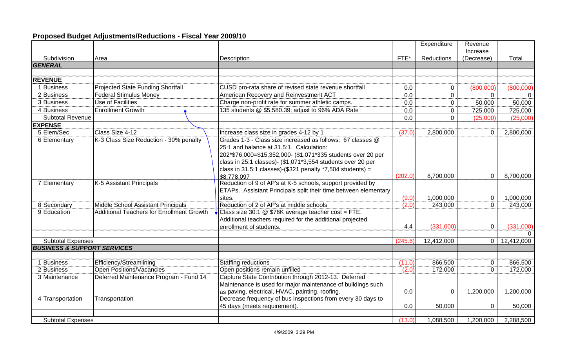# **Proposed Budget Adjustments/Reductions - Fiscal Year 2009/10**

|                                        |                                                  |                                                                 |         | Expenditure | Revenue        |            |
|----------------------------------------|--------------------------------------------------|-----------------------------------------------------------------|---------|-------------|----------------|------------|
|                                        |                                                  |                                                                 |         |             | Increase       |            |
| Subdivision                            | Area                                             | Description                                                     | FTE*    | Reductions  | (Decrease)     | Total      |
| <b>GENERAL</b>                         |                                                  |                                                                 |         |             |                |            |
|                                        |                                                  |                                                                 |         |             |                |            |
| <b>REVENUE</b>                         |                                                  |                                                                 |         |             |                |            |
| 1 Business                             | <b>Projected State Funding Shortfall</b>         | CUSD pro-rata share of revised state revenue shortfall          | 0.0     | $\mathbf 0$ | (800,000)      | (800,000)  |
| 2 Business                             | <b>Federal Stimulus Money</b>                    | American Recovery and Reinvestment ACT                          | 0.0     | $\mathbf 0$ | $\Omega$       | $\Omega$   |
| 3 Business                             | <b>Use of Facilities</b>                         | Charge non-profit rate for summer athletic camps.               | 0.0     | $\mathbf 0$ | 50,000         | 50,000     |
| 4 Business                             | <b>Enrollment Growth</b>                         | 135 students @ \$5,580.39; adjust to 96% ADA Rate               | 0.0     | 0           | 725,000        | 725,000    |
| Subtotal Revenue                       |                                                  |                                                                 | 0.0     | $\Omega$    | (25,000)       | (25,000)   |
| <b>EXPENSE</b>                         |                                                  |                                                                 |         |             |                |            |
| 5 Elem/Sec.                            | Class Size 4-12                                  | Increase class size in grades 4-12 by 1                         | (37.0)  | 2,800,000   | $\mathbf 0$    | 2,800,000  |
| 6 Elementary                           | K-3 Class Size Reduction - 30% penalty           | Grades 1-3 - Class size increased as follows: 67 classes @      |         |             |                |            |
|                                        |                                                  | 25:1 and balance at 31.5:1. Calculation:                        |         |             |                |            |
|                                        |                                                  | 202*\$76,000=\$15,352,000- (\$1,071*335 students over 20 per    |         |             |                |            |
|                                        |                                                  | class in 25:1 classes)- (\$1,071*3,554 students over 20 per     |         |             |                |            |
|                                        |                                                  | class in 31.5:1 classes)-(\$321 penalty $*7,504$ students) =    |         |             |                |            |
|                                        |                                                  | \$8,778,097                                                     | (202.0) | 8,700,000   | $\mathbf 0$    | 8,700,000  |
| 7 Elementary                           | K-5 Assistant Principals                         | Reduction of 9 of AP's at K-5 schools, support provided by      |         |             |                |            |
|                                        |                                                  | ETAPs. Assistant Principals split their time between elementary |         |             |                |            |
|                                        |                                                  | sites.                                                          | (9.0)   | 1,000,000   | $\mathbf 0$    | 1,000,000  |
| 8 Secondary                            | Middle School Assistant Principals               | Reduction of 2 of AP's at middle schools                        | (2.0)   | 243,000     | $\Omega$       | 243,000    |
| 9 Education                            | <b>Additional Teachers for Enrollment Growth</b> | Class size 30:1 @ \$76K average teacher cost = FTE.             |         |             |                |            |
|                                        |                                                  | Additional teachers required for the additional projected       |         |             |                |            |
|                                        |                                                  | enrollment of students.                                         | 4.4     | (331,000)   | $\mathbf 0$    | (331,000)  |
|                                        |                                                  |                                                                 |         |             |                |            |
| <b>Subtotal Expenses</b>               |                                                  |                                                                 | (245.6) | 12,412,000  | $\overline{0}$ | 12,412,000 |
| <b>BUSINESS &amp; SUPPORT SERVICES</b> |                                                  |                                                                 |         |             |                |            |
|                                        |                                                  |                                                                 |         |             |                |            |
| 1 Business                             | Efficiency/Streamlining                          | Staffing reductions                                             | (11.0)  | 866,500     | $\mathbf 0$    | 866,500    |
| 2 Business                             | Open Positions/Vacancies                         | Open positions remain unfilled                                  | (2.0)   | 172,000     | $\Omega$       | 172,000    |
| 3 Maintenance                          | Deferred Maintenance Program - Fund 14           | Capture State Contribution through 2012-13. Deferred            |         |             |                |            |
|                                        |                                                  | Maintenance is used for major maintenance of buildings such     |         |             |                |            |
|                                        |                                                  | as paving, electrical, HVAC, painting, roofing.                 | 0.0     | $\mathbf 0$ | 1,200,000      | 1,200,000  |
| 4 Transportation                       | Transportation                                   | Decrease frequency of bus inspections from every 30 days to     |         |             |                |            |
|                                        |                                                  | 45 days (meets requirement).                                    | 0.0     | 50,000      | $\mathbf 0$    | 50,000     |
|                                        |                                                  |                                                                 |         |             |                |            |
| <b>Subtotal Expenses</b>               |                                                  |                                                                 | (13.0)  | 1,088,500   | 1,200,000      | 2,288,500  |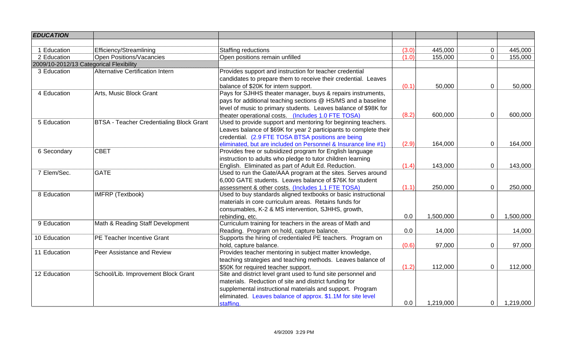| <b>EDUCATION</b>                        |                                                 |                                                                   |       |           |                |           |
|-----------------------------------------|-------------------------------------------------|-------------------------------------------------------------------|-------|-----------|----------------|-----------|
|                                         |                                                 |                                                                   |       |           |                |           |
| 1 Education                             | Efficiency/Streamlining                         | Staffing reductions                                               | (3.0) | 445,000   | 0              | 445,000   |
| 2 Education                             | <b>Open Positions/Vacancies</b>                 | Open positions remain unfilled                                    | (1.0) | 155,000   | $\mathbf{0}$   | 155,000   |
| 2009/10-2012/13 Categorical Flexibility |                                                 |                                                                   |       |           |                |           |
| 3 Education                             | Alternative Certification Intern                | Provides support and instruction for teacher credential           |       |           |                |           |
|                                         |                                                 | candidates to prepare them to receive their credential. Leaves    |       |           |                |           |
|                                         |                                                 | balance of \$20K for intern support.                              | (0.1) | 50,000    | $\mathbf 0$    | 50,000    |
| 4 Education                             | Arts, Music Block Grant                         | Pays for SJHHS theater manager, buys & repairs instruments,       |       |           |                |           |
|                                         |                                                 | pays for additional teaching sections @ HS/MS and a baseline      |       |           |                |           |
|                                         |                                                 | level of music to primary students. Leaves balance of \$98K for   |       |           |                |           |
|                                         |                                                 | theater operational costs. (Includes 1.0 FTE TOSA)                | (8.2) | 600,000   | $\mathbf 0$    | 600,000   |
| 5 Education                             | <b>BTSA - Teacher Credentialing Block Grant</b> | Used to provide support and mentoring for beginning teachers.     |       |           |                |           |
|                                         |                                                 | Leaves balance of \$69K for year 2 participants to complete their |       |           |                |           |
|                                         |                                                 | credential. (2.9 FTE TOSA BTSA positions are being                |       |           |                |           |
|                                         |                                                 | eliminated, but are included on Personnel & Insurance line #1)    | (2.9) | 164,000   | $\mathbf 0$    | 164,000   |
| 6 Secondary                             | <b>CBET</b>                                     | Provides free or subsidized program for English language          |       |           |                |           |
|                                         |                                                 | instruction to adults who pledge to tutor children learning       |       |           |                |           |
|                                         |                                                 | English. Eliminated as part of Adult Ed. Reduction.               | (1.4) | 143,000   | $\pmb{0}$      | 143,000   |
| 7 Elem/Sec.                             | <b>GATE</b>                                     | Used to run the Gate/AAA program at the sites. Serves around      |       |           |                |           |
|                                         |                                                 | 6,000 GATE students. Leaves balance of \$76K for student          |       |           |                |           |
|                                         |                                                 | assessment & other costs. (Includes 1.1 FTE TOSA)                 | (1.1) | 250,000   | $\mathbf 0$    | 250,000   |
| 8 Education                             | <b>IMFRP (Textbook)</b>                         | Used to buy standards aligned textbooks or basic instructional    |       |           |                |           |
|                                         |                                                 | materials in core curriculum areas. Retains funds for             |       |           |                |           |
|                                         |                                                 | consumables, K-2 & MS intervention, SJHHS, growth,                |       |           |                |           |
|                                         |                                                 | rebinding, etc.                                                   | 0.0   | 1,500,000 | $\mathbf 0$    | 1,500,000 |
| 9 Education                             | Math & Reading Staff Development                | Curriculum training for teachers in the areas of Math and         |       |           |                |           |
|                                         |                                                 | Reading. Program on hold, capture balance.                        | 0.0   | 14,000    |                | 14,000    |
| 10 Education                            | PE Teacher Incentive Grant                      | Supports the hiring of credentialed PE teachers. Program on       |       |           |                |           |
|                                         |                                                 | hold, capture balance.                                            | (0.6) | 97,000    | $\mathbf 0$    | 97,000    |
| 11 Education                            | Peer Assistance and Review                      | Provides teacher mentoring in subject matter knowledge,           |       |           |                |           |
|                                         |                                                 | teaching strategies and teaching methods. Leaves balance of       |       |           |                |           |
|                                         |                                                 | \$50K for required teacher support.                               | (1.2) | 112,000   | $\overline{0}$ | 112,000   |
| 12 Education                            | School/Lib. Improvement Block Grant             | Site and district level grant used to fund site personnel and     |       |           |                |           |
|                                         |                                                 | materials. Reduction of site and district funding for             |       |           |                |           |
|                                         |                                                 | supplemental instructional materials and support. Program         |       |           |                |           |
|                                         |                                                 | eliminated. Leaves balance of approx. \$1.1M for site level       |       |           |                |           |
|                                         |                                                 | staffing.                                                         | 0.0   | 1,219,000 | $\overline{0}$ | 1,219,000 |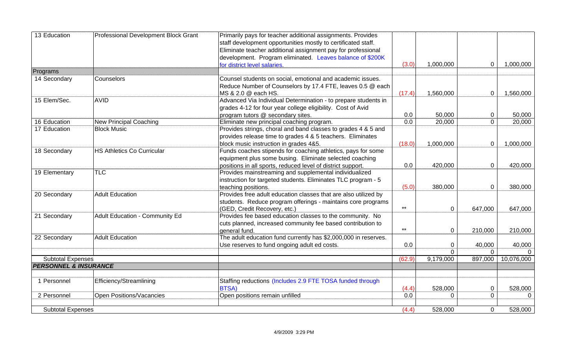| 13 Education                     | Professional Development Block Grant | Primarily pays for teacher additional assignments. Provides     |        |             |                |            |
|----------------------------------|--------------------------------------|-----------------------------------------------------------------|--------|-------------|----------------|------------|
|                                  |                                      | staff development opportunities mostly to certificated staff.   |        |             |                |            |
|                                  |                                      | Eliminate teacher additional assignment pay for professional    |        |             |                |            |
|                                  |                                      | development. Program eliminated. Leaves balance of \$200K       |        |             |                |            |
|                                  |                                      | for district level salaries.                                    | (3.0)  | 1,000,000   | $\mathbf 0$    | 1,000,000  |
| Programs                         |                                      |                                                                 |        |             |                |            |
| 14 Secondary                     | Counselors                           | Counsel students on social, emotional and academic issues.      |        |             |                |            |
|                                  |                                      | Reduce Number of Counselors by 17.4 FTE, leaves 0.5 @ each      |        |             |                |            |
|                                  |                                      | MS & 2.0 @ each HS.                                             | (17.4) | 1,560,000   | $\mathbf{0}$   | 1,560,000  |
| 15 Elem/Sec.                     | <b>AVID</b>                          | Advanced Via Individual Determination - to prepare students in  |        |             |                |            |
|                                  |                                      | grades 4-12 for four year college eligibility. Cost of Avid     |        |             |                |            |
|                                  |                                      | program tutors @ secondary sites.                               | 0.0    | 50,000      | 0              | 50,000     |
| 16 Education                     | New Principal Coaching               | Eliminate new principal coaching program.                       | 0.0    | 20,000      | $\overline{0}$ | 20,000     |
| 17 Education                     | <b>Block Music</b>                   | Provides strings, choral and band classes to grades 4 & 5 and   |        |             |                |            |
|                                  |                                      | provides release time to grades 4 & 5 teachers. Eliminates      |        |             |                |            |
|                                  |                                      | block music instruction in grades 4&5.                          | (18.0) | 1,000,000   | $\mathbf{0}$   | 1,000,000  |
| 18 Secondary                     | <b>HS Athletics Co Curricular</b>    | Funds coaches stipends for coaching athletics, pays for some    |        |             |                |            |
|                                  |                                      | equipment plus some busing. Eliminate selected coaching         |        |             |                |            |
|                                  |                                      | positions in all sports, reduced level of district support.     | 0.0    | 420,000     | $\mathbf{0}$   | 420,000    |
| 19 Elementary                    | <b>TLC</b>                           | Provides mainstreaming and supplemental individualized          |        |             |                |            |
|                                  |                                      | instruction for targeted students. Eliminates TLC program - 5   |        |             |                |            |
|                                  |                                      | teaching positions.                                             | (5.0)  | 380,000     | $\overline{0}$ | 380,000    |
| 20 Secondary                     | <b>Adult Education</b>               | Provides free adult education classes that are also utilized by |        |             |                |            |
|                                  |                                      | students. Reduce program offerings - maintains core programs    |        |             |                |            |
|                                  |                                      | (GED, Credit Recovery, etc.)                                    | $***$  | $\mathbf 0$ | 647,000        | 647,000    |
| 21 Secondary                     | Adult Education - Community Ed       | Provides fee based education classes to the community. No       |        |             |                |            |
|                                  |                                      | cuts planned, increased community fee based contribution to     |        |             |                |            |
|                                  |                                      | general fund.                                                   | $***$  | $\mathbf 0$ | 210,000        | 210,000    |
| 22 Secondary                     | <b>Adult Education</b>               | The adult education fund currently has \$2,000,000 in reserves. |        |             |                |            |
|                                  |                                      | Use reserves to fund ongoing adult ed costs.                    | 0.0    | $\mathbf 0$ | 40,000         | 40,000     |
|                                  |                                      |                                                                 |        | $\mathbf 0$ | $\Omega$       |            |
| <b>Subtotal Expenses</b>         |                                      |                                                                 | (62.9) | 9,179,000   | 897,000        | 10,076,000 |
| <b>PERSONNEL &amp; INSURANCE</b> |                                      |                                                                 |        |             |                |            |
|                                  |                                      |                                                                 |        |             |                |            |
| 1 Personnel                      | Efficiency/Streamlining              | Staffing reductions (Includes 2.9 FTE TOSA funded through       |        |             |                |            |
|                                  |                                      | <b>BTSA)</b>                                                    | (4.4)  | 528,000     | 0              | 528,000    |
| 2 Personnel                      | Open Positions/Vacancies             | Open positions remain unfilled                                  | 0.0    | $\Omega$    | $\mathbf{0}$   | $\Omega$   |
| <b>Subtotal Expenses</b>         |                                      |                                                                 | (4.4)  | 528.000     | $\mathbf 0$    | 528,000    |
|                                  |                                      |                                                                 |        |             |                |            |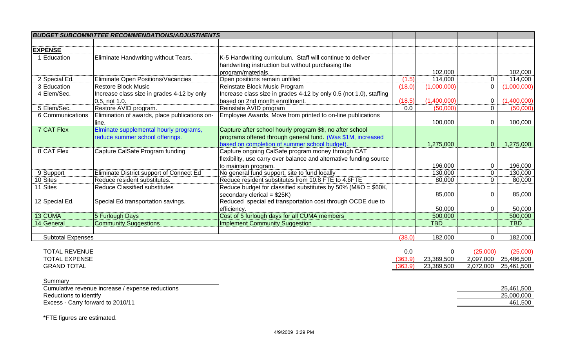|                            | <b>BUDGET SUBCOMMITTEE RECOMMENDATIONS/ADJUSTMENTS</b> |                                                                    |         |             |                |             |
|----------------------------|--------------------------------------------------------|--------------------------------------------------------------------|---------|-------------|----------------|-------------|
|                            |                                                        |                                                                    |         |             |                |             |
| <b>EXPENSE</b>             |                                                        |                                                                    |         |             |                |             |
| 1 Education                | Eliminate Handwriting without Tears.                   | K-5 Handwriting curriculum. Staff will continue to deliver         |         |             |                |             |
|                            |                                                        | handwriting instruction but without purchasing the                 |         |             |                |             |
|                            |                                                        | program/materials.                                                 |         | 102,000     |                | 102,000     |
| 2 Special Ed.              | Eliminate Open Positions/Vacancies                     | Open positions remain unfilled                                     | (1.5)   | 114,000     | $\mathbf 0$    | 114,000     |
| 3 Education                | <b>Restore Block Music</b>                             | Reinstate Block Music Program                                      | (18.0)  | (1,000,000) | $\overline{0}$ | (1,000,000) |
| 4 Elem/Sec.                | Increase class size in grades 4-12 by only             | Increase class size in grades 4-12 by only 0.5 (not 1.0), staffing |         |             |                |             |
|                            | 0.5, not 1.0.                                          | based on 2nd month enrollment.                                     | (18.5)  | (1,400,000) | 0              | (1,400,000) |
| 5 Elem/Sec.                | Restore AVID program.                                  | Reinstate AVID program                                             | 0.0     | (50,000)    | $\mathbf 0$    | (50,000)    |
| 6 Communications           | Elimination of awards, place publications on-          | Employee Awards, Move from printed to on-line publications         |         |             |                |             |
|                            | line.                                                  |                                                                    |         | 100,000     | $\mathbf 0$    | 100,000     |
| 7 CAT Flex                 | Elminate supplemental hourly programs,                 | Capture after school hourly program \$\$, no after school          |         |             |                |             |
|                            | reduce summer school offerings.                        | programs offered through general fund. (Was \$1M, increased        |         |             |                |             |
|                            |                                                        | based on completion of summer school budget).                      |         | 1,275,000   | $\overline{0}$ | 1,275,000   |
| 8 CAT Flex                 | Capture CalSafe Program funding                        | Capture ongoing CalSafe program money through CAT                  |         |             |                |             |
|                            |                                                        | flexibility, use carry over balance and alternative funding source |         |             |                |             |
|                            |                                                        | to maintain program.                                               |         | 196,000     | $\mathbf 0$    | 196,000     |
| 9 Support                  | Eliminate District support of Connect Ed               | No general fund support, site to fund locally                      |         | 130,000     | $\mathbf 0$    | 130,000     |
| 10 Sites                   | Reduce resident substitutes.                           | Reduce resident substitutes from 10.8 FTE to 4.6FTE                |         | 80,000      | $\mathbf 0$    | 80,000      |
| 11 Sites                   | <b>Reduce Classified substitutes</b>                   | Reduce budget for classified substitutes by 50% (M&O = \$60K,      |         |             |                |             |
|                            |                                                        | secondary clerical = $$25K$ )                                      |         | 85,000      | $\mathbf 0$    | 85,000      |
| 12 Special Ed.             | Special Ed transportation savings.                     | Reduced special ed transportation cost through OCDE due to         |         |             |                |             |
|                            |                                                        | efficiency.                                                        |         | 50,000      | $\mathbf 0$    | 50,000      |
| <b>13 CUMA</b>             | 5 Furlough Days                                        | Cost of 5 furlough days for all CUMA members                       |         | 500,000     |                | 500,000     |
| 14 General                 | <b>Community Suggestions</b>                           | <b>Implement Community Suggestion</b>                              |         | <b>TBD</b>  |                | <b>TBD</b>  |
|                            |                                                        |                                                                    |         |             |                |             |
| <b>Subtotal Expenses</b>   |                                                        |                                                                    | (38.0)  | 182,000     | $\mathbf 0$    | 182,000     |
|                            |                                                        |                                                                    |         |             |                |             |
| <b>TOTAL REVENUE</b>       |                                                        |                                                                    | 0.0     | 0           | (25,000)       | (25,000)    |
| <b>TOTAL EXPENSE</b>       |                                                        |                                                                    | (363.9) | 23,389,500  | 2,097,000      | 25,486,500  |
| <b>GRAND TOTAL</b>         |                                                        |                                                                    | (363.9) | 23,389,500  | 2,072,000      | 25,461,500  |
| $C_{11}$ $C_{22}$ $C_{33}$ |                                                        |                                                                    |         |             |                |             |

| Summary                                          |            |
|--------------------------------------------------|------------|
| Cumulative revenue increase / expense reductions | 25,461,500 |
| Reductions to identify                           | 25,000,000 |
| Excess - Carry forward to 2010/11                | 461,500    |

\*FTE figures are estimated.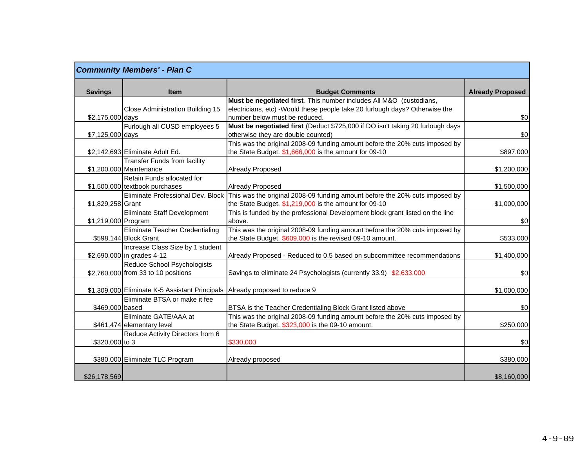|                     | <b>Community Members' - Plan C</b>                                     |                                                                                |                         |
|---------------------|------------------------------------------------------------------------|--------------------------------------------------------------------------------|-------------------------|
| <b>Savings</b>      | <b>Item</b>                                                            | <b>Budget Comments</b>                                                         | <b>Already Proposed</b> |
|                     |                                                                        | Must be negotiated first. This number includes All M&O (custodians,            |                         |
|                     | Close Administration Building 15                                       | electricians, etc) -Would these people take 20 furlough days? Otherwise the    |                         |
| \$2,175,000 days    |                                                                        | number below must be reduced.                                                  | \$0                     |
|                     | Furlough all CUSD employees 5                                          | Must be negotiated first (Deduct \$725,000 if DO isn't taking 20 furlough days |                         |
| \$7,125,000 days    |                                                                        | otherwise they are double counted)                                             | \$0                     |
|                     |                                                                        | This was the original 2008-09 funding amount before the 20% cuts imposed by    |                         |
|                     | \$2,142,693 Eliminate Adult Ed.<br><b>Transfer Funds from facility</b> | the State Budget. \$1,666,000 is the amount for 09-10                          | \$897,000               |
|                     | \$1,200,000 Maintenance                                                | <b>Already Proposed</b>                                                        | \$1,200,000             |
|                     | Retain Funds allocated for                                             |                                                                                |                         |
|                     | \$1,500,000 textbook purchases                                         | <b>Already Proposed</b>                                                        | \$1,500,000             |
|                     | Eliminate Professional Dev. Block                                      | This was the original 2008-09 funding amount before the 20% cuts imposed by    |                         |
| \$1,829,258 Grant   |                                                                        | the State Budget. \$1,219,000 is the amount for 09-10                          | \$1,000,000             |
|                     | Eliminate Staff Development                                            | This is funded by the professional Development block grant listed on the line  |                         |
| \$1,219,000 Program |                                                                        | above.                                                                         | \$0                     |
|                     | <b>Eliminate Teacher Credentialing</b>                                 | This was the original 2008-09 funding amount before the 20% cuts imposed by    |                         |
|                     | \$598,144 Block Grant                                                  | the State Budget. \$609,000 is the revised 09-10 amount.                       | \$533,000               |
|                     | Increase Class Size by 1 student                                       |                                                                                |                         |
|                     | \$2,690,000 in grades 4-12                                             | Already Proposed - Reduced to 0.5 based on subcommittee recommendations        | \$1,400,000             |
|                     | Reduce School Psychologists                                            |                                                                                |                         |
|                     | \$2,760,000 from 33 to 10 positions                                    | Savings to eliminate 24 Psychologists (currently 33.9) \$2,633,000             | \$0                     |
|                     |                                                                        |                                                                                |                         |
|                     | \$1,309,000 Eliminate K-5 Assistant Principals                         | Already proposed to reduce 9                                                   | \$1,000,000             |
|                     | Eliminate BTSA or make it fee                                          |                                                                                |                         |
| \$469,000 based     |                                                                        | BTSA is the Teacher Credentialing Block Grant listed above                     | \$0                     |
|                     | Eliminate GATE/AAA at                                                  | This was the original 2008-09 funding amount before the 20% cuts imposed by    |                         |
|                     | \$461,474 elementary level                                             | the State Budget. \$323,000 is the 09-10 amount.                               | \$250,000               |
|                     | Reduce Activity Directors from 6                                       |                                                                                |                         |
| \$320,000 to 3      |                                                                        | \$330,000                                                                      | \$0                     |
|                     | \$380,000 Eliminate TLC Program                                        | Already proposed                                                               | \$380,000               |
|                     |                                                                        |                                                                                |                         |
| \$26,178,569        |                                                                        |                                                                                | \$8,160,000             |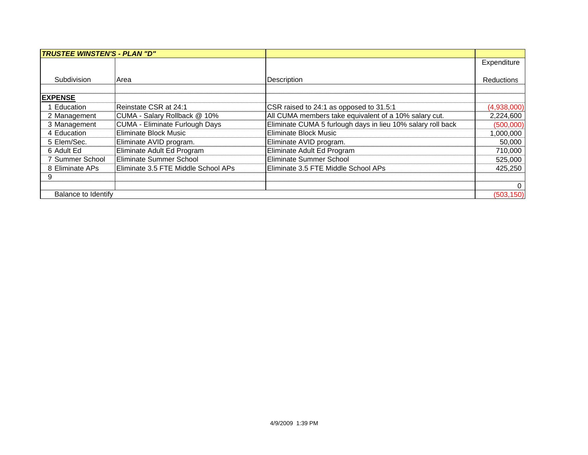| <b>TRUSTEE WINSTEN'S - PLAN "D"</b> |                                     |                                                             |                |
|-------------------------------------|-------------------------------------|-------------------------------------------------------------|----------------|
|                                     |                                     |                                                             | Expenditure    |
|                                     |                                     |                                                             |                |
| Subdivision                         | Area                                | Description                                                 | Reductions     |
|                                     |                                     |                                                             |                |
| <b>EXPENSE</b>                      |                                     |                                                             |                |
| <b>Education</b>                    | Reinstate CSR at 24:1               | CSR raised to 24:1 as opposed to 31.5:1                     | (4,938,000)    |
| 2 Management                        | CUMA - Salary Rollback @ 10%        | All CUMA members take equivalent of a 10% salary cut.       | 2,224,600      |
| 3 Management                        | CUMA - Eliminate Furlough Days      | Eliminate CUMA 5 furlough days in lieu 10% salary roll back | (500,000)      |
| 4 Education                         | <b>Eliminate Block Music</b>        | Eliminate Block Music                                       | 1,000,000      |
| 5 Elem/Sec.                         | Eliminate AVID program.             | Eliminate AVID program.                                     | 50,000         |
| 6 Adult Ed                          | Eliminate Adult Ed Program          | Eliminate Adult Ed Program                                  | 710,000        |
| 7 Summer School                     | Eliminate Summer School             | Eliminate Summer School                                     | 525,000        |
| 8 Eliminate APs                     | Eliminate 3.5 FTE Middle School APs | Eliminate 3.5 FTE Middle School APs                         | 425,250        |
| 9                                   |                                     |                                                             |                |
|                                     |                                     |                                                             | $\overline{0}$ |
| Balance to Identify                 |                                     |                                                             | (503, 150)     |